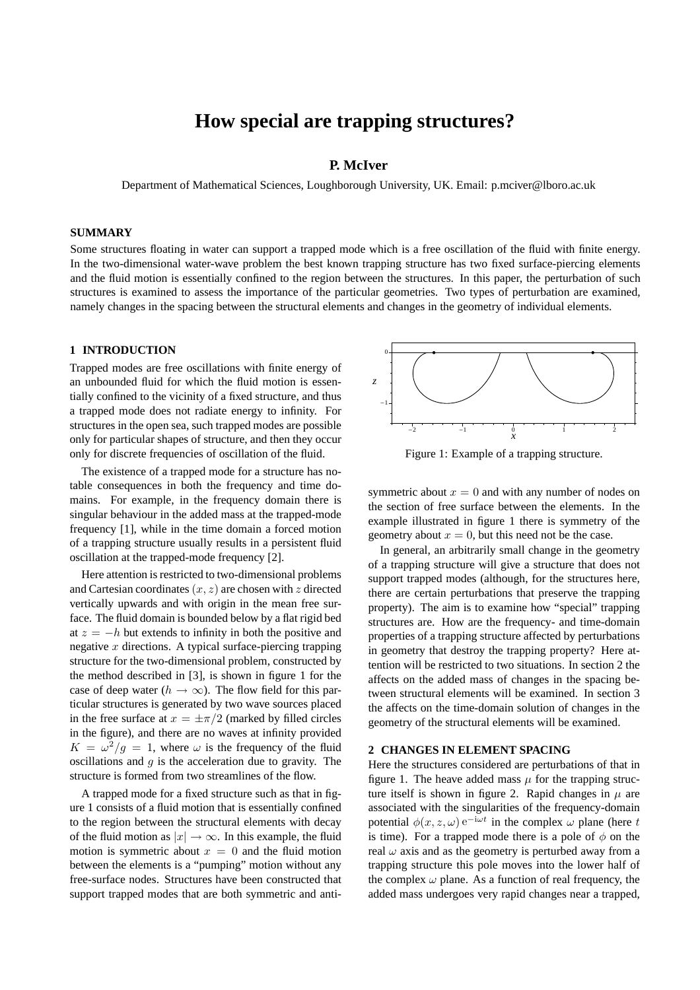# **How special are trapping structures?**

#### **P. McIver**

Department of Mathematical Sciences, Loughborough University, UK. Email: p.mciver@lboro.ac.uk

#### **SUMMARY**

Some structures floating in water can support a trapped mode which is a free oscillation of the fluid with finite energy. In the two-dimensional water-wave problem the best known trapping structure has two fixed surface-piercing elements and the fluid motion is essentially confined to the region between the structures. In this paper, the perturbation of such structures is examined to assess the importance of the particular geometries. Two types of perturbation are examined, namely changes in the spacing between the structural elements and changes in the geometry of individual elements.

#### **1 INTRODUCTION**

Trapped modes are free oscillations with finite energy of an unbounded fluid for which the fluid motion is essentially confined to the vicinity of a fixed structure, and thus a trapped mode does not radiate energy to infinity. For structures in the open sea, such trapped modes are possible only for particular shapes of structure, and then they occur only for discrete frequencies of oscillation of the fluid.

The existence of a trapped mode for a structure has notable consequences in both the frequency and time domains. For example, in the frequency domain there is singular behaviour in the added mass at the trapped-mode frequency [1], while in the time domain a forced motion of a trapping structure usually results in a persistent fluid oscillation at the trapped-mode frequency [2].

Here attention is restricted to two-dimensional problems and Cartesian coordinates(*x, z*) are chosen with *z* directed vertically upwards and with origin in the mean free surface. The fluid domain is bounded below by a flat rigid bed at  $z = -h$  but extends to infinity in both the positive and negative *x* directions. A typical surface-piercing trapping structure for the two-dimensional problem, constructed by the method described in [3], is shown in figure 1 for the case of deep water ( $h \to \infty$ ). The flow field for this particular structures is generated by two wave sources placed in the free surface at  $x = \pm \pi/2$  (marked by filled circles in the figure), and there are no waves at infinity provided  $K = \omega^2/g = 1$ , where  $\omega$  is the frequency of the fluid oscillations and *g* is the acceleration due to gravity. The structure is formed from two streamlines of the flow.

A trapped mode for a fixed structure such as that in figure 1 consists of a fluid motion that is essentially confined to the region between the structural elements with decay of the fluid motion as  $|x| \to \infty$ . In this example, the fluid motion is symmetric about  $x = 0$  and the fluid motion between the elements is a "pumping" motion without any free-surface nodes. Structures have been constructed that support trapped modes that are both symmetric and anti-



Figure 1: Example of a trapping structure.

symmetric about  $x = 0$  and with any number of nodes on the section of free surface between the elements. In the example illustrated in figure 1 there is symmetry of the geometry about  $x = 0$ , but this need not be the case.

In general, an arbitrarily small change in the geometry of a trapping structure will give a structure that does not support trapped modes (although, for the structures here, there are certain perturbations that preserve the trapping property). The aim is to examine how "special" trapping structures are. How are the frequency- and time-domain properties of a trapping structure affected by perturbations in geometry that destroy the trapping property? Here attention will be restricted to two situations. In section 2 the affects on the added mass of changes in the spacing between structural elements will be examined. In section 3 the affects on the time-domain solution of changes in the geometry of the structural elements will be examined.

#### **2 CHANGES IN ELEMENT SPACING**

Here the structures considered are perturbations of that in figure 1. The heave added mass  $\mu$  for the trapping structure itself is shown in figure 2. Rapid changes in  $\mu$  are associated with the singularities of the frequency-domain potential  $\phi(x, z, \omega) e^{-i\omega t}$  in the complex  $\omega$  plane (here *t* is time). For a trapped mode there is a pole of  $\phi$  on the real  $\omega$  axis and as the geometry is perturbed away from a trapping structure this pole moves into the lower half of the complex  $\omega$  plane. As a function of real frequency, the added mass undergoes very rapid changes near a trapped,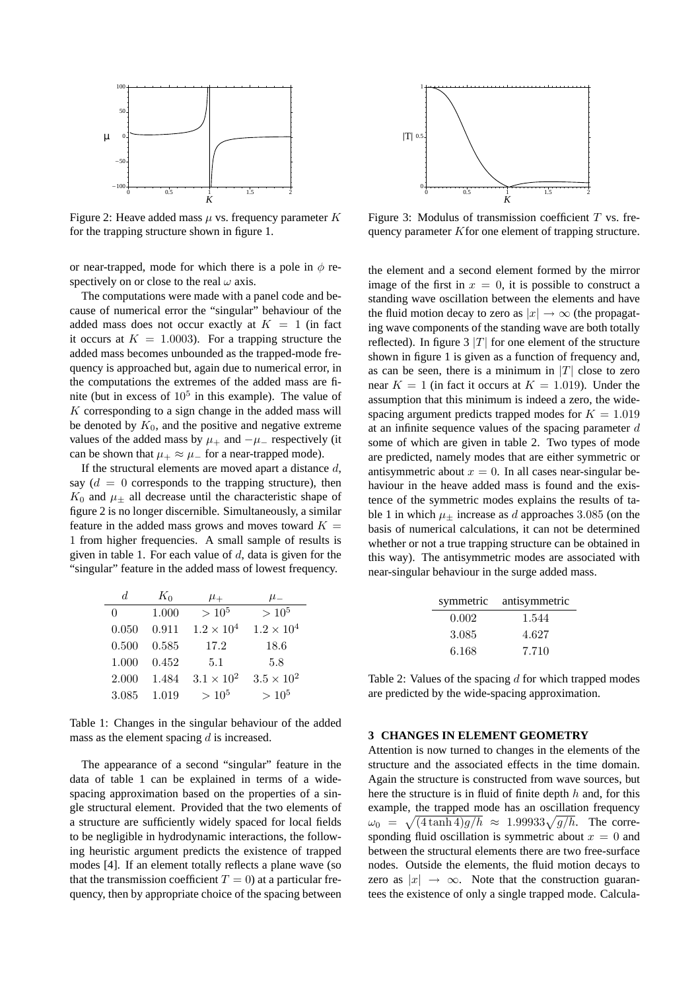

Figure 2: Heave added mass *µ* vs. frequency parameter *K* for the trapping structure shown in figure 1.

or near-trapped, mode for which there is a pole in  $\phi$  respectively on or close to the real *ω* axis.

The computations were made with a panel code and because of numerical error the "singular" behaviour of the added mass does not occur exactly at  $K = 1$  (in fact it occurs at  $K = 1.0003$ . For a trapping structure the added mass becomes unbounded as the trapped-mode frequency is approached but, again due to numerical error, in the computations the extremes of the added mass are finite (but in excess of  $10<sup>5</sup>$  in this example). The value of *K* corresponding to a sign change in the added mass will be denoted by  $K_0$ , and the positive and negative extreme values of the added mass by  $\mu$ <sub>+</sub> and  $-\mu$ <sub>−</sub> respectively (it can be shown that  $\mu_+ \approx \mu_-$  for a near-trapped mode).

If the structural elements are moved apart a distance *d*, say  $(d = 0$  corresponds to the trapping structure), then  $K_0$  and  $\mu_{\pm}$  all decrease until the characteristic shape of figure 2 is no longer discernible. Simultaneously, a similar feature in the added mass grows and moves toward  $K =$ 1 from higher frequencies. A small sample of results is given in table 1. For each value of *d*, data is given for the "singular" feature in the added mass of lowest frequency.

| d.                | $K_0$ | $\mu_+$             | $\mu_-$             |
|-------------------|-------|---------------------|---------------------|
| $\mathbf{\Omega}$ | 1.000 | $> 10^{5}$          | $> 10^{5}$          |
| 0.050             | 0.911 | $1.2 \times 10^{4}$ | $1.2 \times 10^{4}$ |
| 0.500             | 0.585 | 17.2                | 18.6                |
| 1.000             | 0.452 | 5.1                 | 5.8                 |
| 2.000             | 1.484 | $3.1 \times 10^2$   | $3.5 \times 10^2$   |
| 3.085             | 1.019 | $> 10^{5}$          | $> 10^{5}$          |

Table 1: Changes in the singular behaviour of the added mass as the element spacing *d* is increased.

The appearance of a second "singular" feature in the data of table 1 can be explained in terms of a widespacing approximation based on the properties of a single structural element. Provided that the two elements of a structure are sufficiently widely spaced for local fields to be negligible in hydrodynamic interactions, the following heuristic argument predicts the existence of trapped modes [4]. If an element totally reflects a plane wave (so that the transmission coefficient  $T = 0$ ) at a particular frequency, then by appropriate choice of the spacing between



Figure 3: Modulus of transmission coefficient *T* vs. frequency parameter *K*for one element of trapping structure.

the element and a second element formed by the mirror image of the first in  $x = 0$ , it is possible to construct a standing wave oscillation between the elements and have the fluid motion decay to zero as  $|x| \to \infty$  (the propagating wave components of the standing wave are both totally reflected). In figure  $3 |T|$  for one element of the structure shown in figure 1 is given as a function of frequency and, as can be seen, there is a minimum in  $|T|$  close to zero near  $K = 1$  (in fact it occurs at  $K = 1.019$ ). Under the assumption that this minimum is indeed a zero, the widespacing argument predicts trapped modes for  $K = 1.019$ at an infinite sequence values of the spacing parameter *d* some of which are given in table 2. Two types of mode are predicted, namely modes that are either symmetric or antisymmetric about  $x = 0$ . In all cases near-singular behaviour in the heave added mass is found and the existence of the symmetric modes explains the results of table 1 in which  $\mu$ <sup>+</sup> increase as *d* approaches 3.085 (on the basis of numerical calculations, it can not be determined whether or not a true trapping structure can be obtained in this way). The antisymmetric modes are associated with near-singular behaviour in the surge added mass.

| symmetric | antisymmetric |
|-----------|---------------|
| 0.002     | 1.544         |
| 3.085     | 4.627         |
| 6.168     | 7.710         |

Table 2: Values of the spacing *d* for which trapped modes are predicted by the wide-spacing approximation.

#### **3 CHANGES IN ELEMENT GEOMETRY**

Attention is now turned to changes in the elements of the structure and the associated effects in the time domain. Again the structure is constructed from wave sources, but here the structure is in fluid of finite depth *h* and, for this example, the trapped mode has an oscillation frequency  $\omega_0 = \sqrt{\frac{4 \tanh 4\frac{g}{h}}{\pi}} \approx 1.99933\sqrt{\frac{g}{h}}$ . The corresponding fluid oscillation is symmetric about  $x = 0$  and between the structural elements there are two free-surface nodes. Outside the elements, the fluid motion decays to zero as  $|x| \rightarrow \infty$ . Note that the construction guarantees the existence of only a single trapped mode. Calcula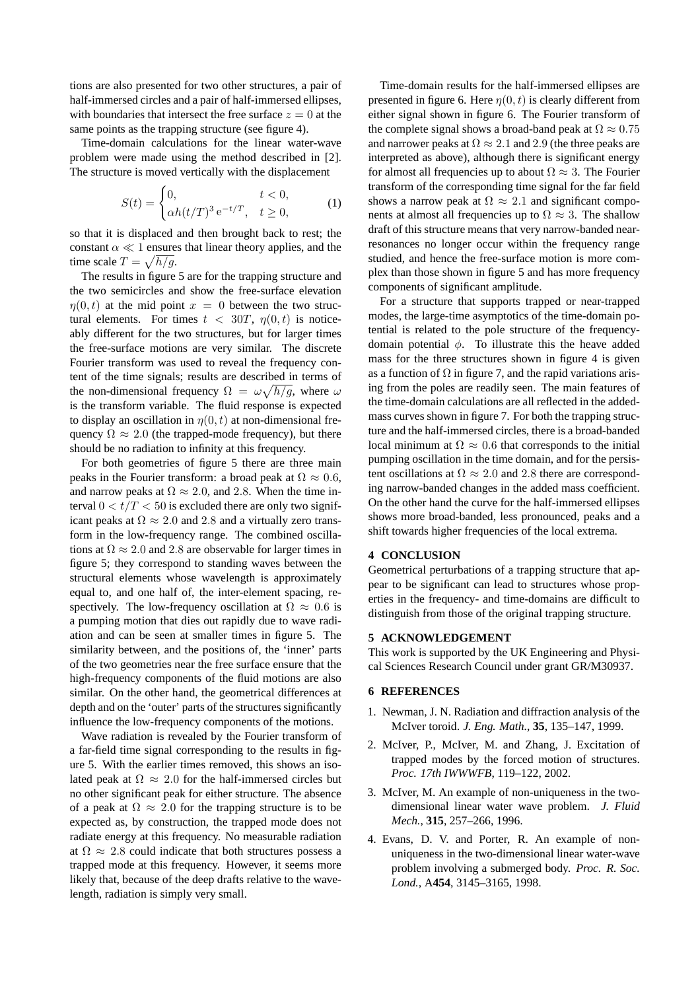tions are also presented for two other structures, a pair of half-immersed circles and a pair of half-immersed ellipses, with boundaries that intersect the free surface  $z = 0$  at the same points as the trapping structure (see figure 4).

Time-domain calculations for the linear water-wave problem were made using the method described in [2]. The structure is moved vertically with the displacement

$$
S(t) = \begin{cases} 0, & t < 0, \\ \alpha h(t/T)^3 e^{-t/T}, & t \ge 0, \end{cases}
$$
 (1)

so that it is displaced and then brought back to rest; the constant  $\alpha \ll 1$  ensures that linear theory applies, and the time scale  $T = \sqrt{h/g}$ .

The results in figure 5 are for the trapping structure and the two semicircles and show the free-surface elevation  $\eta(0,t)$  at the mid point  $x = 0$  between the two structural elements. For times  $t < 30T$ ,  $\eta(0, t)$  is noticeably different for the two structures, but for larger times the free-surface motions are very similar. The discrete Fourier transform was used to reveal the frequency content of the time signals; results are described in terms of the non-dimensional frequency  $\Omega = \omega \sqrt{h/g}$ , where  $\omega$ is the transform variable. The fluid response is expected to display an oscillation in  $\eta(0, t)$  at non-dimensional frequency  $\Omega \approx 2.0$  (the trapped-mode frequency), but there should be no radiation to infinity at this frequency.

For both geometries of figure 5 there are three main peaks in the Fourier transform: a broad peak at  $\Omega \approx 0.6$ , and narrow peaks at  $\Omega \approx 2.0$ , and 2.8. When the time interval  $0 < t/T < 50$  is excluded there are only two significant peaks at  $\Omega \approx 2.0$  and 2.8 and a virtually zero transform in the low-frequency range. The combined oscillations at  $\Omega \approx 2.0$  and 2.8 are observable for larger times in figure 5; they correspond to standing waves between the structural elements whose wavelength is approximately equal to, and one half of, the inter-element spacing, respectively. The low-frequency oscillation at  $\Omega \approx 0.6$  is a pumping motion that dies out rapidly due to wave radiation and can be seen at smaller times in figure 5. The similarity between, and the positions of, the 'inner' parts of the two geometries near the free surface ensure that the high-frequency components of the fluid motions are also similar. On the other hand, the geometrical differences at depth and on the 'outer' parts of the structures significantly influence the low-frequency components of the motions.

Wave radiation is revealed by the Fourier transform of a far-field time signal corresponding to the results in figure 5. With the earlier times removed, this shows an isolated peak at  $\Omega \approx 2.0$  for the half-immersed circles but no other significant peak for either structure. The absence of a peak at  $\Omega \approx 2.0$  for the trapping structure is to be expected as, by construction, the trapped mode does not radiate energy at this frequency. No measurable radiation at  $\Omega \approx 2.8$  could indicate that both structures possess a trapped mode at this frequency. However, it seems more likely that, because of the deep drafts relative to the wavelength, radiation is simply very small.

Time-domain results for the half-immersed ellipses are presented in figure 6. Here  $\eta(0, t)$  is clearly different from either signal shown in figure 6. The Fourier transform of the complete signal shows a broad-band peak at  $\Omega \approx 0.75$ and narrower peaks at  $\Omega \approx 2.1$  and 2.9 (the three peaks are interpreted as above), although there is significant energy for almost all frequencies up to about  $\Omega \approx 3$ . The Fourier transform of the corresponding time signal for the far field shows a narrow peak at  $\Omega \approx 2.1$  and significant components at almost all frequencies up to  $\Omega \approx 3$ . The shallow draft of this structure means that very narrow-banded nearresonances no longer occur within the frequency range studied, and hence the free-surface motion is more complex than those shown in figure 5 and has more frequency components of significant amplitude.

For a structure that supports trapped or near-trapped modes, the large-time asymptotics of the time-domain potential is related to the pole structure of the frequencydomain potential *φ*. To illustrate this the heave added mass for the three structures shown in figure 4 is given as a function of  $\Omega$  in figure 7, and the rapid variations arising from the poles are readily seen. The main features of the time-domain calculations are all reflected in the addedmass curves shown in figure 7. For both the trapping structure and the half-immersed circles, there is a broad-banded local minimum at  $\Omega \approx 0.6$  that corresponds to the initial pumping oscillation in the time domain, and for the persistent oscillations at  $\Omega \approx 2.0$  and 2.8 there are corresponding narrow-banded changes in the added mass coefficient. On the other hand the curve for the half-immersed ellipses shows more broad-banded, less pronounced, peaks and a shift towards higher frequencies of the local extrema.

#### **4 CONCLUSION**

Geometrical perturbations of a trapping structure that appear to be significant can lead to structures whose properties in the frequency- and time-domains are difficult to distinguish from those of the original trapping structure.

#### **5 ACKNOWLEDGEMENT**

This work is supported by the UK Engineering and Physical Sciences Research Council under grant GR/M30937.

#### **6 REFERENCES**

- 1. Newman, J. N. Radiation and diffraction analysis of the McIver toroid. *J. Eng. Math.*, **35**, 135–147, 1999.
- 2. McIver, P., McIver, M. and Zhang, J. Excitation of trapped modes by the forced motion of structures. *Proc. 17th IWWWFB*, 119–122, 2002.
- 3. McIver, M. An example of non-uniqueness in the twodimensional linear water wave problem. *J. Fluid Mech.*, **315**, 257–266, 1996.
- 4. Evans, D. V. and Porter, R. An example of nonuniqueness in the two-dimensional linear water-wave problem involving a submerged body. *Proc. R. Soc. Lond.*, A**454**, 3145–3165, 1998.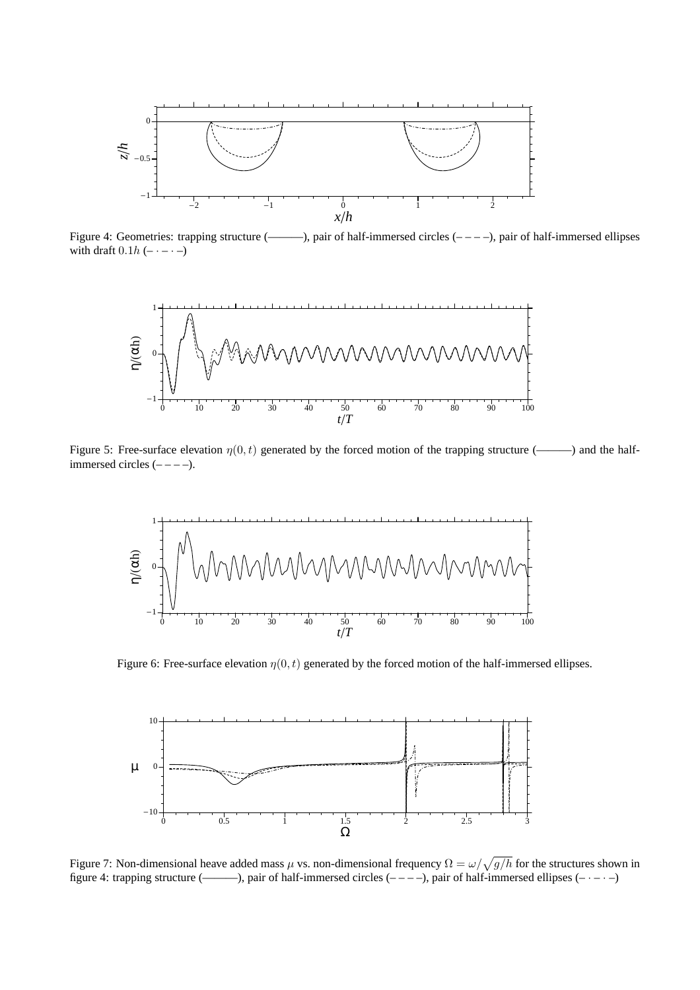

Figure 4: Geometries: trapping structure (-----), pair of half-immersed circles  $(----)$ , pair of half-immersed ellipses with draft  $0.1h$  (–  $\cdot$  –  $\cdot$  –)



Figure 5: Free-surface elevation  $\eta(0, t)$  generated by the forced motion of the trapping structure (——) and the halfimmersed circles  $(----).$ 



Figure 6: Free-surface elevation  $\eta(0, t)$  generated by the forced motion of the half-immersed ellipses.



Figure 7: Non-dimensional heave added mass  $\mu$  vs. non-dimensional frequency  $\Omega = \omega / \sqrt{g/h}$  for the structures shown in figure 4: trapping structure (----------), pair of half-immersed circles  $(----)$ , pair of half-immersed ellipses  $(----)$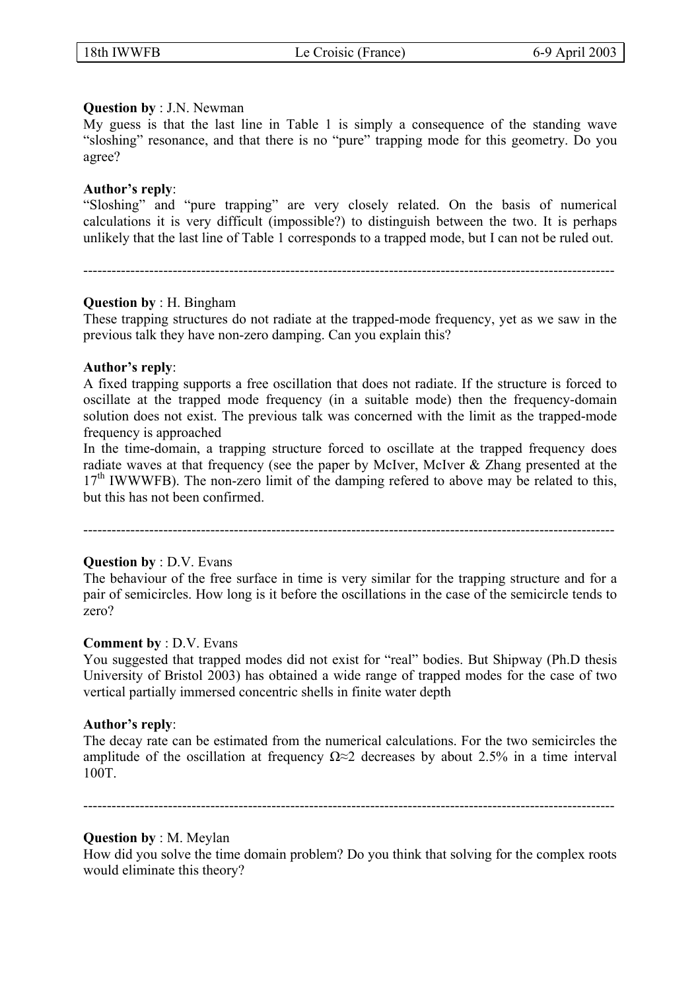### **Question by** : J.N. Newman

My guess is that the last line in Table 1 is simply a consequence of the standing wave "sloshing" resonance, and that there is no "pure" trapping mode for this geometry. Do you agree?

### **Author's reply**:

"Sloshing" and "pure trapping" are very closely related. On the basis of numerical calculations it is very difficult (impossible?) to distinguish between the two. It is perhaps unlikely that the last line of Table 1 corresponds to a trapped mode, but I can not be ruled out.

-----------------------------------------------------------------------------------------------------------------

# **Question by** : H. Bingham

These trapping structures do not radiate at the trapped-mode frequency, yet as we saw in the previous talk they have non-zero damping. Can you explain this?

### **Author's reply**:

A fixed trapping supports a free oscillation that does not radiate. If the structure is forced to oscillate at the trapped mode frequency (in a suitable mode) then the frequency-domain solution does not exist. The previous talk was concerned with the limit as the trapped-mode frequency is approached

In the time-domain, a trapping structure forced to oscillate at the trapped frequency does radiate waves at that frequency (see the paper by McIver, McIver & Zhang presented at the  $17<sup>th</sup>$  IWWWFB). The non-zero limit of the damping refered to above may be related to this, but this has not been confirmed.

-----------------------------------------------------------------------------------------------------------------

## **Question by** : D.V. Evans

The behaviour of the free surface in time is very similar for the trapping structure and for a pair of semicircles. How long is it before the oscillations in the case of the semicircle tends to zero?

#### **Comment by** : D.V. Evans

You suggested that trapped modes did not exist for "real" bodies. But Shipway (Ph.D thesis University of Bristol 2003) has obtained a wide range of trapped modes for the case of two vertical partially immersed concentric shells in finite water depth

#### **Author's reply**:

The decay rate can be estimated from the numerical calculations. For the two semicircles the amplitude of the oscillation at frequency  $\Omega \approx 2$  decreases by about 2.5% in a time interval 100T.

-----------------------------------------------------------------------------------------------------------------

#### **Question by** : M. Meylan

How did you solve the time domain problem? Do you think that solving for the complex roots would eliminate this theory?